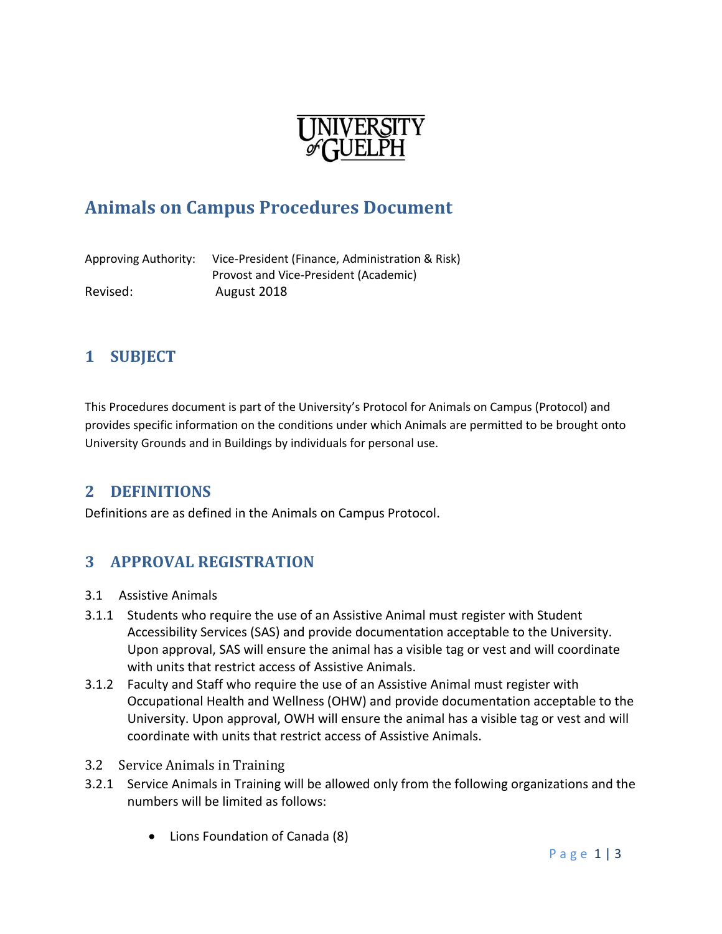

# **Animals on Campus Procedures Document**

Approving Authority: Vice-President (Finance, Administration & Risk) Provost and Vice-President (Academic) Revised: August 2018

### **1 SUBJECT**

This Procedures document is part of the University's Protocol for Animals on Campus (Protocol) and provides specific information on the conditions under which Animals are permitted to be brought onto University Grounds and in Buildings by individuals for personal use.

#### **2 DEFINITIONS**

Definitions are as defined in the Animals on Campus Protocol.

#### **3 APPROVAL REGISTRATION**

- 3.1 Assistive Animals
- 3.1.1 Students who require the use of an Assistive Animal must register with Student Accessibility Services (SAS) and provide documentation acceptable to the University. Upon approval, SAS will ensure the animal has a visible tag or vest and will coordinate with units that restrict access of Assistive Animals.
- 3.1.2 Faculty and Staff who require the use of an Assistive Animal must register with Occupational Health and Wellness (OHW) and provide documentation acceptable to the University. Upon approval, OWH will ensure the animal has a visible tag or vest and will coordinate with units that restrict access of Assistive Animals.
- 3.2 Service Animals in Training
- 3.2.1 Service Animals in Training will be allowed only from the following organizations and the numbers will be limited as follows:
	- Lions Foundation of Canada (8)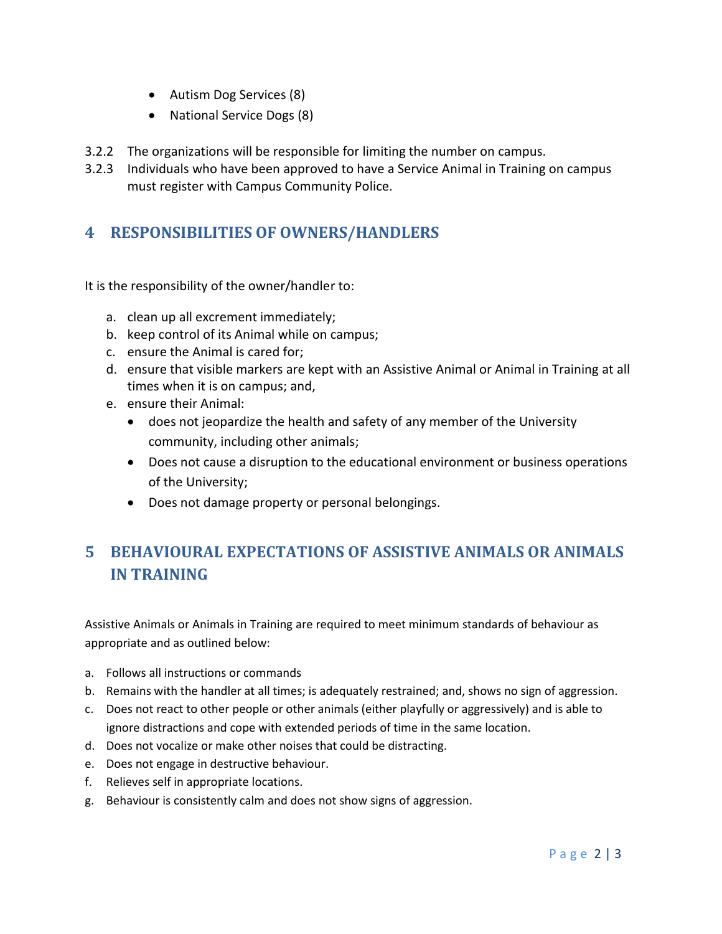- Autism Dog Services (8)
- National Service Dogs (8)
- 3.2.2 The organizations will be responsible for limiting the number on campus.
- 3.2.3 Individuals who have been approved to have a Service Animal in Training on campus must register with Campus Community Police.

## **4 RESPONSIBILITIES OF OWNERS/HANDLERS**

It is the responsibility of the owner/handler to:

- a. clean up all excrement immediately;
- b. keep control of its Animal while on campus;
- c. ensure the Animal is cared for;
- d. ensure that visible markers are kept with an Assistive Animal or Animal in Training at all times when it is on campus; and,
- e. ensure their Animal:
	- does not jeopardize the health and safety of any member of the University community, including other animals;
	- Does not cause a disruption to the educational environment or business operations of the University;
	- Does not damage property or personal belongings.

## **5 BEHAVIOURAL EXPECTATIONS OF ASSISTIVE ANIMALS OR ANIMALS IN TRAINING**

Assistive Animals or Animals in Training are required to meet minimum standards of behaviour as appropriate and as outlined below:

- a. Follows all instructions or commands
- b. Remains with the handler at all times; is adequately restrained; and, shows no sign of aggression.
- c. Does not react to other people or other animals (either playfully or aggressively) and is able to ignore distractions and cope with extended periods of time in the same location.
- d. Does not vocalize or make other noises that could be distracting.
- e. Does not engage in destructive behaviour.
- f. Relieves self in appropriate locations.
- g. Behaviour is consistently calm and does not show signs of aggression.